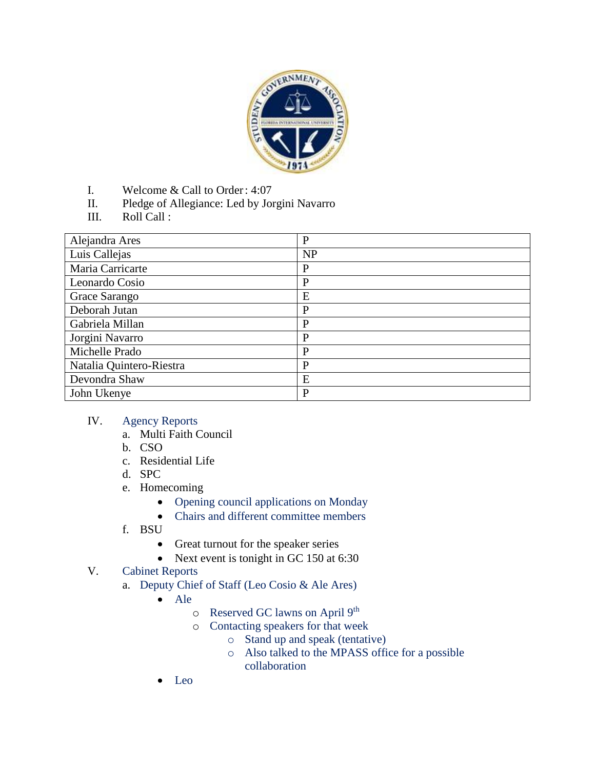

- I. Welcome & Call to Order: 4:07
- II. Pledge of Allegiance: Led by Jorgini Navarro
- III. Roll Call :

| Alejandra Ares           | P         |
|--------------------------|-----------|
| Luis Callejas            | <b>NP</b> |
| Maria Carricarte         | P         |
| Leonardo Cosio           | P         |
| Grace Sarango            | E         |
| Deborah Jutan            | P         |
| Gabriela Millan          | P         |
| Jorgini Navarro          | P         |
| Michelle Prado           | P         |
| Natalia Quintero-Riestra | P         |
| Devondra Shaw            | E         |
| John Ukenye              | P         |

## IV. Agency Reports

- a. Multi Faith Council
- b. CSO
- c. Residential Life
- d. SPC
- e. Homecoming
	- Opening council applications on Monday
	- Chairs and different committee members
- f. BSU
	- Great turnout for the speaker series
	- Next event is tonight in GC 150 at 6:30
- V. Cabinet Reports
	- a. Deputy Chief of Staff (Leo Cosio & Ale Ares)
		- Ale
			- o Reserved GC lawns on April 9th
			- o Contacting speakers for that week
				- o Stand up and speak (tentative)
				- o Also talked to the MPASS office for a possible collaboration
		- Leo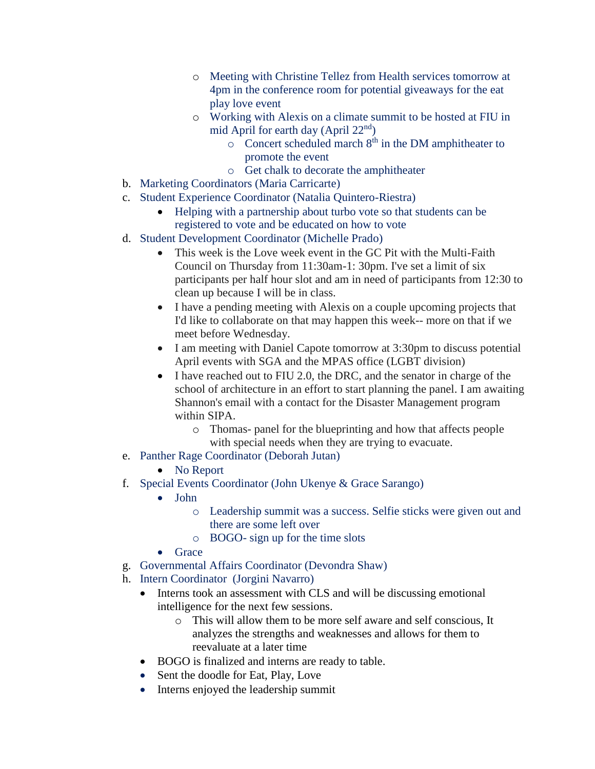- o Meeting with Christine Tellez from Health services tomorrow at 4pm in the conference room for potential giveaways for the eat play love event
- o Working with Alexis on a climate summit to be hosted at FIU in mid April for earth day (April  $22<sup>nd</sup>$ )
	- o Concert scheduled march 8th in the DM amphitheater to promote the event
	- o Get chalk to decorate the amphitheater
- b. Marketing Coordinators (Maria Carricarte)
- c. Student Experience Coordinator (Natalia Quintero-Riestra)
	- Helping with a partnership about turbo vote so that students can be registered to vote and be educated on how to vote
- d. Student Development Coordinator (Michelle Prado)
	- This week is the Love week event in the GC Pit with the Multi-Faith Council on Thursday from 11:30am-1: 30pm. I've set a limit of six participants per half hour slot and am in need of participants from 12:30 to clean up because I will be in class.
	- I have a pending meeting with Alexis on a couple upcoming projects that I'd like to collaborate on that may happen this week-- more on that if we meet before Wednesday.
	- I am meeting with Daniel Capote tomorrow at 3:30pm to discuss potential April events with SGA and the MPAS office (LGBT division)
	- I have reached out to FIU 2.0, the DRC, and the senator in charge of the school of architecture in an effort to start planning the panel. I am awaiting Shannon's email with a contact for the Disaster Management program within SIPA.
		- o Thomas- panel for the blueprinting and how that affects people with special needs when they are trying to evacuate.
- e. Panther Rage Coordinator (Deborah Jutan)
	- No Report
- f. Special Events Coordinator (John Ukenye & Grace Sarango)
	- John
		- o Leadership summit was a success. Selfie sticks were given out and there are some left over
		- o BOGO- sign up for the time slots
	- Grace
- g. Governmental Affairs Coordinator (Devondra Shaw)
- h. Intern Coordinator (Jorgini Navarro)
	- Interns took an assessment with CLS and will be discussing emotional intelligence for the next few sessions.
		- o This will allow them to be more self aware and self conscious, It analyzes the strengths and weaknesses and allows for them to reevaluate at a later time
	- BOGO is finalized and interns are ready to table.
	- Sent the doodle for Eat, Play, Love
	- Interns enjoyed the leadership summit